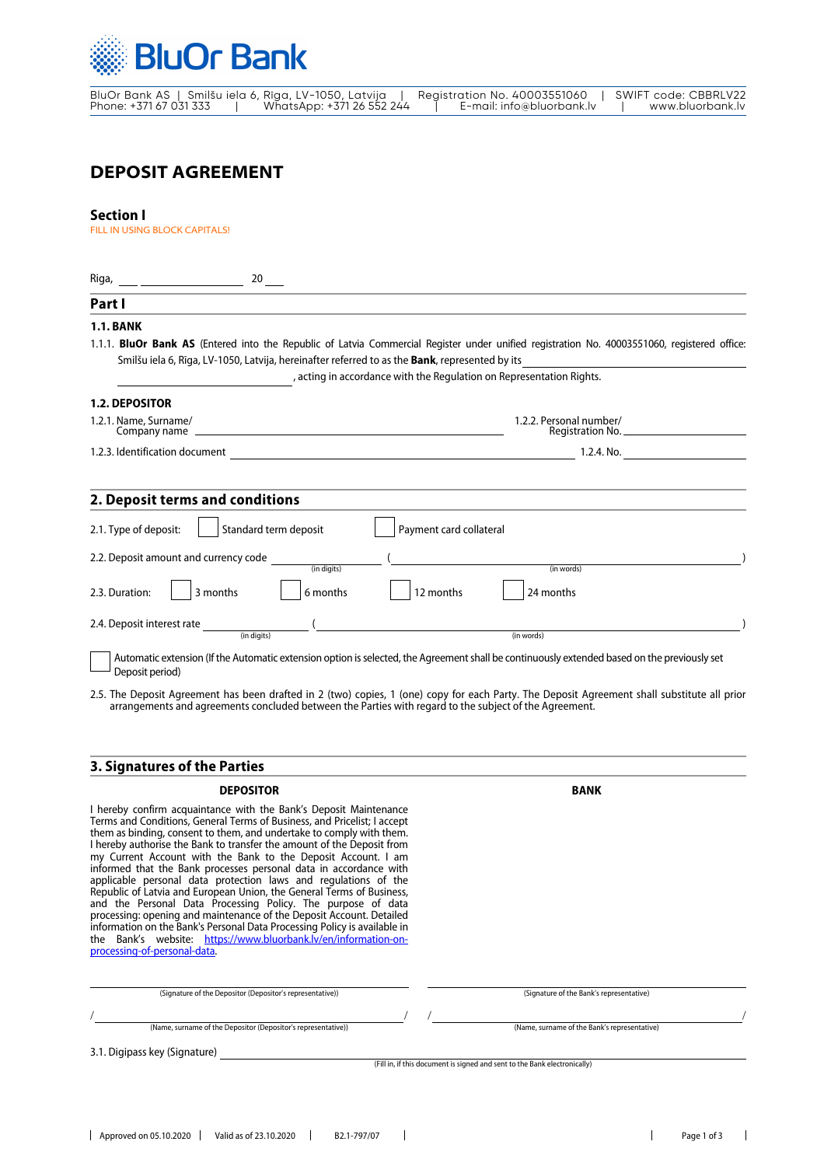

# **DEPOSIT AGREEMENT**

## **Section I**

FILL IN USING BLOCK CAPITALS!

| Riga,<br>$20$ <sub>---</sub>                                                                                                                                                                                                                                                                                                                                                                                                                                                                                                                                                                                                                                                                                                                                                                                                                                                                              |                                                                           |
|-----------------------------------------------------------------------------------------------------------------------------------------------------------------------------------------------------------------------------------------------------------------------------------------------------------------------------------------------------------------------------------------------------------------------------------------------------------------------------------------------------------------------------------------------------------------------------------------------------------------------------------------------------------------------------------------------------------------------------------------------------------------------------------------------------------------------------------------------------------------------------------------------------------|---------------------------------------------------------------------------|
| Part I                                                                                                                                                                                                                                                                                                                                                                                                                                                                                                                                                                                                                                                                                                                                                                                                                                                                                                    |                                                                           |
| <b>1.1. BANK</b><br>1.1.1. BluOr Bank AS (Entered into the Republic of Latvia Commercial Register under unified registration No. 40003551060, registered office:<br>Smilšu iela 6, Rīga, LV-1050, Latvija, hereinafter referred to as the <b>Bank</b> , represented by its                                                                                                                                                                                                                                                                                                                                                                                                                                                                                                                                                                                                                                | , acting in accordance with the Regulation on Representation Rights.      |
| <b>1.2. DEPOSITOR</b>                                                                                                                                                                                                                                                                                                                                                                                                                                                                                                                                                                                                                                                                                                                                                                                                                                                                                     |                                                                           |
| 1.2.1. Name, Surname/                                                                                                                                                                                                                                                                                                                                                                                                                                                                                                                                                                                                                                                                                                                                                                                                                                                                                     | 1.2.2. Personal number/<br>Registration No.                               |
|                                                                                                                                                                                                                                                                                                                                                                                                                                                                                                                                                                                                                                                                                                                                                                                                                                                                                                           |                                                                           |
| 2. Deposit terms and conditions                                                                                                                                                                                                                                                                                                                                                                                                                                                                                                                                                                                                                                                                                                                                                                                                                                                                           |                                                                           |
| Standard term deposit<br>2.1. Type of deposit:                                                                                                                                                                                                                                                                                                                                                                                                                                                                                                                                                                                                                                                                                                                                                                                                                                                            | Payment card collateral                                                   |
| 2.2. Deposit amount and currency code<br>(in digits)                                                                                                                                                                                                                                                                                                                                                                                                                                                                                                                                                                                                                                                                                                                                                                                                                                                      | (in words)                                                                |
| 3 months<br>6 months<br>2.3. Duration:                                                                                                                                                                                                                                                                                                                                                                                                                                                                                                                                                                                                                                                                                                                                                                                                                                                                    | 12 months<br>24 months                                                    |
| 2.4. Deposit interest rate<br>(in diaits)                                                                                                                                                                                                                                                                                                                                                                                                                                                                                                                                                                                                                                                                                                                                                                                                                                                                 | (in words)                                                                |
| 2.5. The Deposit Agreement has been drafted in 2 (two) copies, 1 (one) copy for each Party. The Deposit Agreement shall substitute all prior<br>arrangements and agreements concluded between the Parties with regard to the subject of the Agreement.<br>3. Signatures of the Parties                                                                                                                                                                                                                                                                                                                                                                                                                                                                                                                                                                                                                    |                                                                           |
| <b>DEPOSITOR</b>                                                                                                                                                                                                                                                                                                                                                                                                                                                                                                                                                                                                                                                                                                                                                                                                                                                                                          | BANK                                                                      |
| I hereby confirm acquaintance with the Bank's Deposit Maintenance<br>Terms and Conditions, General Terms of Business, and Pricelist; I accept<br>them as binding, consent to them, and undertake to comply with them.<br>I hereby authorise the Bank to transfer the amount of the Deposit from<br>my Current Account with the Bank to the Deposit Account. I am<br>informed that the Bank processes personal data in accordance with<br>applicable personal data protection laws and regulations of the<br>Republic of Latvia and European Union, the General Terms of Business,<br>and the Personal Data Processing Policy. The purpose of data<br>processing: opening and maintenance of the Deposit Account. Detailed<br>information on the Bank's Personal Data Processing Policy is available in<br>the Bank's website: https://www.bluorbank.ly/en/information-on-<br>processing-of-personal-data. |                                                                           |
| (Signature of the Depositor (Depositor's representative))                                                                                                                                                                                                                                                                                                                                                                                                                                                                                                                                                                                                                                                                                                                                                                                                                                                 | (Signature of the Bank's representative)                                  |
| (Name, surname of the Depositor (Depositor's representative))                                                                                                                                                                                                                                                                                                                                                                                                                                                                                                                                                                                                                                                                                                                                                                                                                                             | (Name, surname of the Bank's representative)                              |
| 3.1. Digipass key (Signature)                                                                                                                                                                                                                                                                                                                                                                                                                                                                                                                                                                                                                                                                                                                                                                                                                                                                             |                                                                           |
|                                                                                                                                                                                                                                                                                                                                                                                                                                                                                                                                                                                                                                                                                                                                                                                                                                                                                                           | (Fill in, if this document is signed and sent to the Bank electronically) |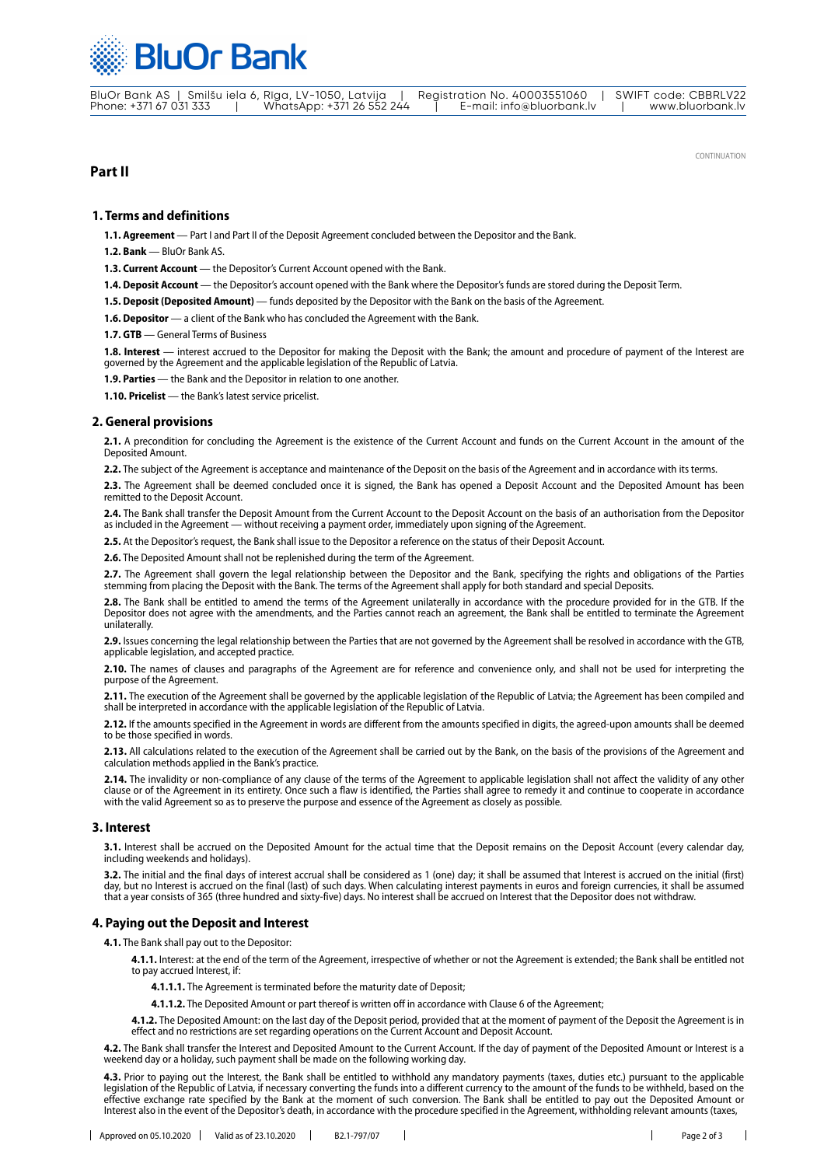

BluOr Bank AS | Smilšu iela 6, Rīga, LV-1050, Latvija | Registration No. 40003551060 | SWIFT code: CBBRLV22 Phone: +371 67 031 333 | WhatsApp: +371 26 552 244 | E-mail: info@bluorbank.lv | www.bluorbank.lv

## **Part II**

CONTINUATION

### **1. Terms and definitions**

**1.1. Agreement** — Part I and Part II of the Deposit Agreement concluded between the Depositor and the Bank.

**1.2. Bank** — BluOr Bank AS.

**1.3. Current Account** — the Depositor's Current Account opened with the Bank.

**1.4. Deposit Account** — the Depositor's account opened with the Bank where the Depositor's funds are stored during the Deposit Term.

**1.5. Deposit (Deposited Amount)** — funds deposited by the Depositor with the Bank on the basis of the Agreement.

1.6. Depositor  $-$  a client of the Bank who has concluded the Agreement with the Bank.

**1.7. GTB** — General Terms of Business

**1.8. Interest** — interest accrued to the Depositor for making the Deposit with the Bank; the amount and procedure of payment of the Interest are governed by the Agreement and the applicable legislation of the Republic of Latvia.

**1.9. Parties** — the Bank and the Depositor in relation to one another.

**1.10. Pricelist** — the Bank's latest service pricelist.

#### **2. General provisions**

**2.1.** A precondition for concluding the Agreement is the existence of the Current Account and funds on the Current Account in the amount of the Deposited Amount.

**2.2.** The subject of the Agreement is acceptance and maintenance of the Deposit on the basis of the Agreement and in accordance with its terms.

**2.3.** The Agreement shall be deemed concluded once it is signed, the Bank has opened a Deposit Account and the Deposited Amount has been mitted to the Deposit Account

**2.4.** The Bank shall transfer the Deposit Amount from the Current Account to the Deposit Account on the basis of an authorisation from the Depositor as included in the Agreement — without receiving a payment order, immediately upon signing of the Agreement.

**2.5.** At the Depositor's request, the Bank shall issue to the Depositor a reference on the status of their Deposit Account.

**2.6.** The Deposited Amount shall not be replenished during the term of the Agreement.

**2.7.** The Agreement shall govern the legal relationship between the Depositor and the Bank, specifying the rights and obligations of the Parties stemming from placing the Deposit with the Bank. The terms of the Agreement shall apply for both standard and special Deposits.

**2.8.** The Bank shall be entitled to amend the terms of the Agreement unilaterally in accordance with the procedure provided for in the GTB. If the Depositor does not agree with the amendments, and the Parties cannot reach an agreement, the Bank shall be entitled to terminate the Agreement unilaterally.

**2.9.** Issues concerning the legal relationship between the Parties that are not governed by the Agreement shall be resolved in accordance with the GTB, applicable legislation, and accepted practice.

**2.10.** The names of clauses and paragraphs of the Agreement are for reference and convenience only, and shall not be used for interpreting the purpose of the Agreement.

2.11. The execution of the Agreement shall be governed by the applicable legislation of the Republic of Latvia; the Agreement has been compiled and shall be interpreted in accordance with the applicable legislation of the Republic of Latvia.

**2.12.** If the amounts specified in the Agreement in words are different from the amounts specified in digits, the agreed-upon amounts shall be deemed to be those specified in words.

**2.13.** All calculations related to the execution of the Agreement shall be carried out by the Bank, on the basis of the provisions of the Agreement and calculation methods applied in the Bank's practice.

**2.14.** The invalidity or non-compliance of any clause of the terms of the Agreement to applicable legislation shall not affect the validity of any other clause or of the Agreement in its entirety. Once such a flaw is identified, the Parties shall agree to remedy it and continue to cooperate in accordance with the valid Agreement so as to preserve the purpose and essence of the Agreement as closely as possible.

#### **3. Interest**

**3.1.** Interest shall be accrued on the Deposited Amount for the actual time that the Deposit remains on the Deposit Account (every calendar day, including weekends and holidays).

**3.2.** The initial and the final days of interest accrual shall be considered as 1 (one) day; it shall be assumed that Interest is accrued on the initial (first) day, but no Interest is accrued on the final (last) of such days. When calculating interest payments in euros and foreign currencies, it shall be assumed that a year consists of 365 (three hundred and sixty-five) days. No interest shall be accrued on Interest that the Depositor does not withdraw.

#### **4. Paying out the Deposit and Interest**

**4.1.** The Bank shall pay out to the Depositor:

**4.1.1.** Interest: at the end of the term of the Agreement, irrespective of whether or not the Agreement is extended; the Bank shall be entitled not to pay accrued Interest, if:

**4.1.1.1.** The Agreement is terminated before the maturity date of Deposit;

**4.1.1.2.** The Deposited Amount or part thereof is written off in accordance with Clause 6 of the Agreement;

**4.1.2.** The Deposited Amount: on the last day of the Deposit period, provided that at the moment of payment of the Deposit the Agreement is in effect and no restrictions are set regarding operations on the Current Account and Deposit Account.

**4.2.** The Bank shall transfer the Interest and Deposited Amount to the Current Account. If the day of payment of the Deposited Amount or Interest is a weekend day or a holiday, such payment shall be made on the following working day.

**4.3.** Prior to paying out the Interest, the Bank shall be entitled to withhold any mandatory payments (taxes, duties etc.) pursuant to the applicable legislation of the Republic of Latvia, if necessary converting the funds into a different currency to the amount of the funds to be withheld, based on the<br>effective exchange rate specified by the Bank at the moment of such Interest also in the event of the Depositor's death, in accordance with the procedure specified in the Agreement, withholding relevant amounts (taxes,

 $\overline{1}$